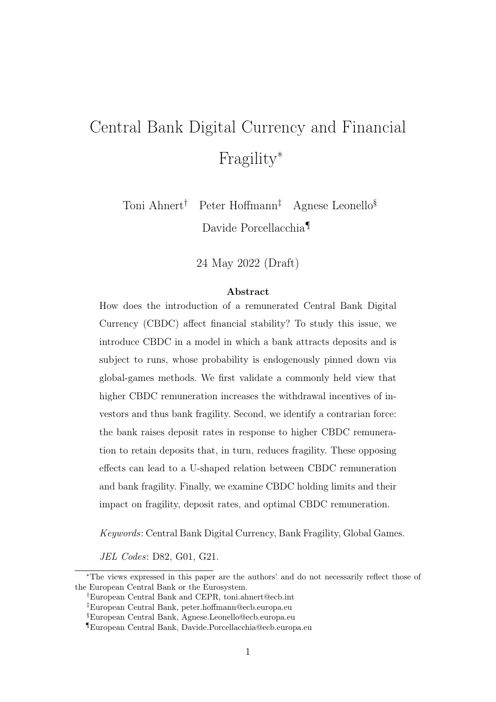# Central Bank Digital Currency and Financial Fragility<sup>∗</sup>

Toni Ahnert† Peter Hoffmann‡ Agnese Leonello§ Davide Porcellacchia¶

24 May 2022 (Draft)

#### Abstract

How does the introduction of a remunerated Central Bank Digital Currency (CBDC) affect financial stability? To study this issue, we introduce CBDC in a model in which a bank attracts deposits and is subject to runs, whose probability is endogenously pinned down via global-games methods. We first validate a commonly held view that higher CBDC remuneration increases the withdrawal incentives of investors and thus bank fragility. Second, we identify a contrarian force: the bank raises deposit rates in response to higher CBDC remuneration to retain deposits that, in turn, reduces fragility. These opposing effects can lead to a U-shaped relation between CBDC remuneration and bank fragility. Finally, we examine CBDC holding limits and their impact on fragility, deposit rates, and optimal CBDC remuneration.

Keywords: Central Bank Digital Currency, Bank Fragility, Global Games.

JEL Codes: D82, G01, G21.

<sup>∗</sup>The views expressed in this paper are the authors' and do not necessarily reflect those of the European Central Bank or the Eurosystem.

<sup>†</sup>European Central Bank and CEPR, toni.ahnert@ecb.int

<sup>‡</sup>European Central Bank, peter.hoffmann@ecb.europa.eu

<sup>§</sup>European Central Bank, Agnese.Leonello@ecb.europa.eu

<sup>¶</sup>European Central Bank, Davide.Porcellacchia@ecb.europa.eu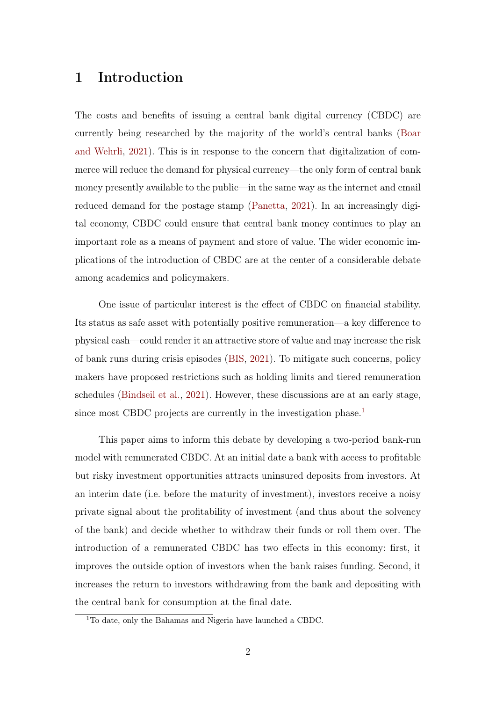## 1 Introduction

The costs and benefits of issuing a central bank digital currency (CBDC) are currently being researched by the majority of the world's central banks [\(Boar](#page-23-0) [and Wehrli,](#page-23-0) [2021\)](#page-23-0). This is in response to the concern that digitalization of commerce will reduce the demand for physical currency—the only form of central bank money presently available to the public—in the same way as the internet and email reduced demand for the postage stamp [\(Panetta,](#page-24-0) [2021\)](#page-24-0). In an increasingly digital economy, CBDC could ensure that central bank money continues to play an important role as a means of payment and store of value. The wider economic implications of the introduction of CBDC are at the center of a considerable debate among academics and policymakers.

One issue of particular interest is the effect of CBDC on financial stability. Its status as safe asset with potentially positive remuneration—a key difference to physical cash—could render it an attractive store of value and may increase the risk of bank runs during crisis episodes [\(BIS,](#page-23-1) [2021\)](#page-23-1). To mitigate such concerns, policy makers have proposed restrictions such as holding limits and tiered remuneration schedules [\(Bindseil et al.,](#page-23-2) [2021\)](#page-23-2). However, these discussions are at an early stage, since most CBDC projects are currently in the investigation phase.<sup>[1](#page-1-0)</sup>

This paper aims to inform this debate by developing a two-period bank-run model with remunerated CBDC. At an initial date a bank with access to profitable but risky investment opportunities attracts uninsured deposits from investors. At an interim date (i.e. before the maturity of investment), investors receive a noisy private signal about the profitability of investment (and thus about the solvency of the bank) and decide whether to withdraw their funds or roll them over. The introduction of a remunerated CBDC has two effects in this economy: first, it improves the outside option of investors when the bank raises funding. Second, it increases the return to investors withdrawing from the bank and depositing with the central bank for consumption at the final date.

<span id="page-1-0"></span><sup>1</sup>To date, only the Bahamas and Nigeria have launched a CBDC.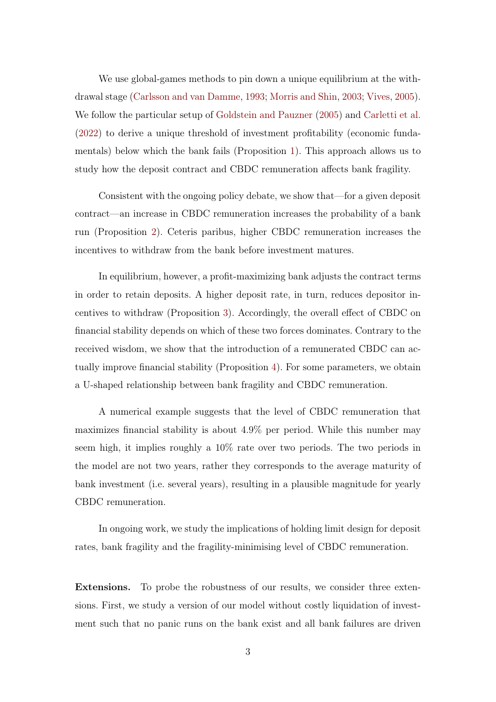We use global-games methods to pin down a unique equilibrium at the withdrawal stage [\(Carlsson and van Damme,](#page-23-3) [1993;](#page-23-3) [Morris and Shin,](#page-24-1) [2003;](#page-24-1) [Vives,](#page-24-2) [2005\)](#page-24-2). We follow the particular setup of [Goldstein and Pauzner](#page-23-4) [\(2005\)](#page-23-4) and [Carletti et al.](#page-23-5) [\(2022\)](#page-23-5) to derive a unique threshold of investment profitability (economic fundamentals) below which the bank fails (Proposition [1\)](#page-6-0). This approach allows us to study how the deposit contract and CBDC remuneration affects bank fragility.

Consistent with the ongoing policy debate, we show that—for a given deposit contract—an increase in CBDC remuneration increases the probability of a bank run (Proposition [2\)](#page-7-0). Ceteris paribus, higher CBDC remuneration increases the incentives to withdraw from the bank before investment matures.

In equilibrium, however, a profit-maximizing bank adjusts the contract terms in order to retain deposits. A higher deposit rate, in turn, reduces depositor incentives to withdraw (Proposition [3\)](#page-8-0). Accordingly, the overall effect of CBDC on financial stability depends on which of these two forces dominates. Contrary to the received wisdom, we show that the introduction of a remunerated CBDC can actually improve financial stability (Proposition [4\)](#page-10-0). For some parameters, we obtain a U-shaped relationship between bank fragility and CBDC remuneration.

A numerical example suggests that the level of CBDC remuneration that maximizes financial stability is about 4.9% per period. While this number may seem high, it implies roughly a 10% rate over two periods. The two periods in the model are not two years, rather they corresponds to the average maturity of bank investment (i.e. several years), resulting in a plausible magnitude for yearly CBDC remuneration.

In ongoing work, we study the implications of holding limit design for deposit rates, bank fragility and the fragility-minimising level of CBDC remuneration.

Extensions. To probe the robustness of our results, we consider three extensions. First, we study a version of our model without costly liquidation of investment such that no panic runs on the bank exist and all bank failures are driven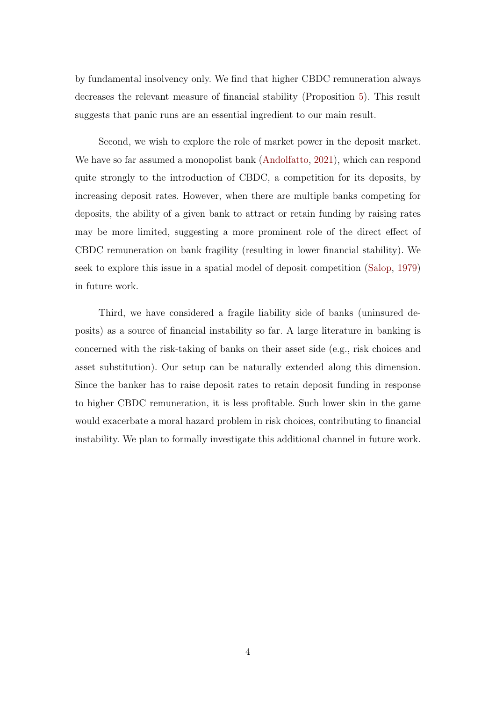by fundamental insolvency only. We find that higher CBDC remuneration always decreases the relevant measure of financial stability (Proposition [5\)](#page-12-0). This result suggests that panic runs are an essential ingredient to our main result.

Second, we wish to explore the role of market power in the deposit market. We have so far assumed a monopolist bank [\(Andolfatto,](#page-23-6) [2021\)](#page-23-6), which can respond quite strongly to the introduction of CBDC, a competition for its deposits, by increasing deposit rates. However, when there are multiple banks competing for deposits, the ability of a given bank to attract or retain funding by raising rates may be more limited, suggesting a more prominent role of the direct effect of CBDC remuneration on bank fragility (resulting in lower financial stability). We seek to explore this issue in a spatial model of deposit competition [\(Salop,](#page-24-3) [1979\)](#page-24-3) in future work.

Third, we have considered a fragile liability side of banks (uninsured deposits) as a source of financial instability so far. A large literature in banking is concerned with the risk-taking of banks on their asset side (e.g., risk choices and asset substitution). Our setup can be naturally extended along this dimension. Since the banker has to raise deposit rates to retain deposit funding in response to higher CBDC remuneration, it is less profitable. Such lower skin in the game would exacerbate a moral hazard problem in risk choices, contributing to financial instability. We plan to formally investigate this additional channel in future work.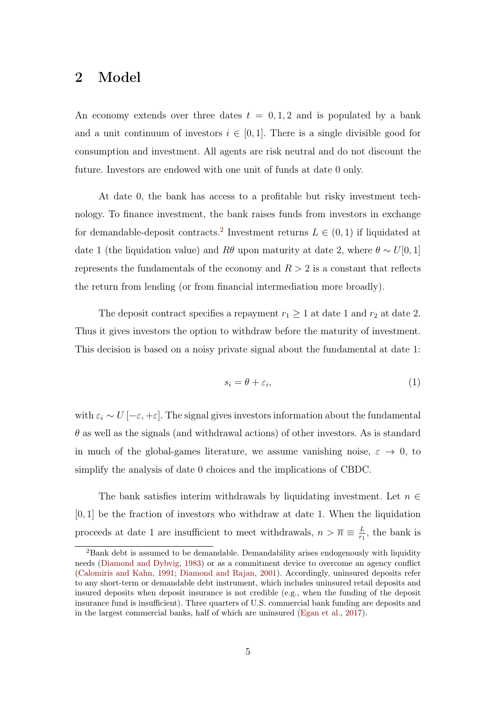# 2 Model

An economy extends over three dates  $t = 0, 1, 2$  and is populated by a bank and a unit continuum of investors  $i \in [0, 1]$ . There is a single divisible good for consumption and investment. All agents are risk neutral and do not discount the future. Investors are endowed with one unit of funds at date 0 only.

At date 0, the bank has access to a profitable but risky investment technology. To finance investment, the bank raises funds from investors in exchange for demandable-deposit contracts.<sup>[2](#page-4-0)</sup> Investment returns  $L \in (0,1)$  if liquidated at date 1 (the liquidation value) and R $\theta$  upon maturity at date 2, where  $\theta \sim U[0, 1]$ represents the fundamentals of the economy and  $R > 2$  is a constant that reflects the return from lending (or from financial intermediation more broadly).

The deposit contract specifies a repayment  $r_1 \geq 1$  at date 1 and  $r_2$  at date 2. Thus it gives investors the option to withdraw before the maturity of investment. This decision is based on a noisy private signal about the fundamental at date 1:

$$
s_i = \theta + \varepsilon_i,\tag{1}
$$

with  $\varepsilon_i \sim U\left[-\varepsilon, +\varepsilon\right]$ . The signal gives investors information about the fundamental  $\theta$  as well as the signals (and withdrawal actions) of other investors. As is standard in much of the global-games literature, we assume vanishing noise,  $\varepsilon \to 0$ , to simplify the analysis of date 0 choices and the implications of CBDC.

The bank satisfies interim withdrawals by liquidating investment. Let  $n \in$  $[0, 1]$  be the fraction of investors who withdraw at date 1. When the liquidation proceeds at date 1 are insufficient to meet withdrawals,  $n > \overline{n} \equiv \frac{L}{n}$  $\frac{L}{r_1}$ , the bank is

<span id="page-4-0"></span><sup>2</sup>Bank debt is assumed to be demandable. Demandability arises endogenously with liquidity needs [\(Diamond and Dybvig,](#page-23-7) [1983\)](#page-23-7) or as a commitment device to overcome an agency conflict [\(Calomiris and Kahn,](#page-23-8) [1991;](#page-23-8) [Diamond and Rajan,](#page-23-9) [2001\)](#page-23-9). Accordingly, uninsured deposits refer to any short-term or demandable debt instrument, which includes uninsured retail deposits and insured deposits when deposit insurance is not credible (e.g., when the funding of the deposit insurance fund is insufficient). Three quarters of U.S. commercial bank funding are deposits and in the largest commercial banks, half of which are uninsured [\(Egan et al.,](#page-23-10) [2017\)](#page-23-10).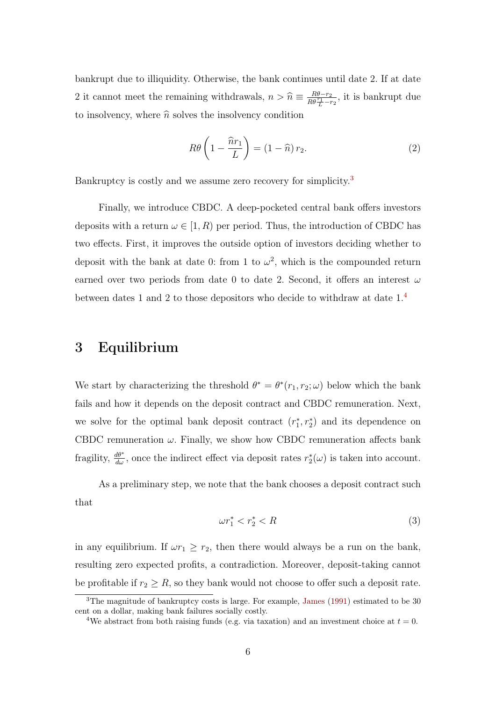bankrupt due to illiquidity. Otherwise, the bank continues until date 2. If at date 2 it cannot meet the remaining withdrawals,  $n > \hat{n} \equiv \frac{R\theta - r_2}{R\theta \frac{r_1}{L} - r_2}$ , it is bankrupt due to insolvency, where  $\hat{n}$  solves the insolvency condition

$$
R\theta\left(1 - \frac{\hat{n}r_1}{L}\right) = (1 - \hat{n})r_2.
$$
\n(2)

Bankruptcy is costly and we assume zero recovery for simplicity.<sup>[3](#page-5-0)</sup>

Finally, we introduce CBDC. A deep-pocketed central bank offers investors deposits with a return  $\omega \in [1, R)$  per period. Thus, the introduction of CBDC has two effects. First, it improves the outside option of investors deciding whether to deposit with the bank at date 0: from 1 to  $\omega^2$ , which is the compounded return earned over two periods from date 0 to date 2. Second, it offers an interest  $\omega$ between dates 1 and 2 to those depositors who decide to withdraw at date 1.[4](#page-5-1)

## 3 Equilibrium

We start by characterizing the threshold  $\theta^* = \theta^*(r_1, r_2; \omega)$  below which the bank fails and how it depends on the deposit contract and CBDC remuneration. Next, we solve for the optimal bank deposit contract  $(r_1^*, r_2^*)$  and its dependence on CBDC remuneration  $\omega$ . Finally, we show how CBDC remuneration affects bank fragility,  $\frac{d\theta^*}{d\omega}$ , once the indirect effect via deposit rates  $r_2^*(\omega)$  is taken into account.

As a preliminary step, we note that the bank chooses a deposit contract such that

$$
\omega r_1^* < r_2^* < R \tag{3}
$$

in any equilibrium. If  $\omega r_1 \geq r_2$ , then there would always be a run on the bank, resulting zero expected profits, a contradiction. Moreover, deposit-taking cannot be profitable if  $r_2 \geq R$ , so they bank would not choose to offer such a deposit rate.

<span id="page-5-0"></span><sup>3</sup>The magnitude of bankruptcy costs is large. For example, [James](#page-23-11) [\(1991\)](#page-23-11) estimated to be 30 cent on a dollar, making bank failures socially costly.

<span id="page-5-1"></span><sup>&</sup>lt;sup>4</sup>We abstract from both raising funds (e.g. via taxation) and an investment choice at  $t = 0$ .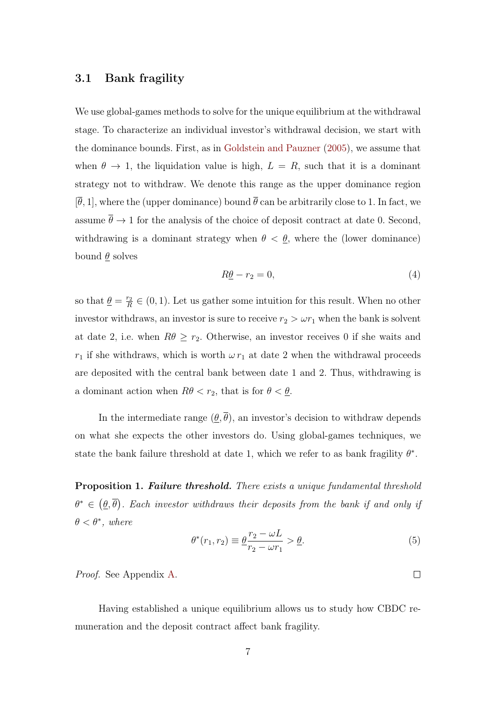#### 3.1 Bank fragility

We use global-games methods to solve for the unique equilibrium at the withdrawal stage. To characterize an individual investor's withdrawal decision, we start with the dominance bounds. First, as in [Goldstein and Pauzner](#page-23-4) [\(2005\)](#page-23-4), we assume that when  $\theta \to 1$ , the liquidation value is high,  $L = R$ , such that it is a dominant strategy not to withdraw. We denote this range as the upper dominance region  $[\overline{\theta}, 1]$ , where the (upper dominance) bound  $\overline{\theta}$  can be arbitrarily close to 1. In fact, we assume  $\bar{\theta} \rightarrow 1$  for the analysis of the choice of deposit contract at date 0. Second, withdrawing is a dominant strategy when  $\theta < \theta$ , where the (lower dominance) bound  $\theta$  solves

$$
R\underline{\theta} - r_2 = 0,\t\t(4)
$$

so that  $\theta = \frac{r_2}{R}$  $\frac{r_2}{R} \in (0, 1)$ . Let us gather some intuition for this result. When no other investor withdraws, an investor is sure to receive  $r_2 > \omega r_1$  when the bank is solvent at date 2, i.e. when  $R\theta \ge r_2$ . Otherwise, an investor receives 0 if she waits and  $r_1$  if she withdraws, which is worth  $\omega r_1$  at date 2 when the withdrawal proceeds are deposited with the central bank between date 1 and 2. Thus, withdrawing is a dominant action when  $R\theta < r_2$ , that is for  $\theta < \underline{\theta}$ .

In the intermediate range  $(\underline{\theta}, \overline{\theta})$ , an investor's decision to withdraw depends on what she expects the other investors do. Using global-games techniques, we state the bank failure threshold at date 1, which we refer to as bank fragility  $\theta^*$ .

<span id="page-6-0"></span>**Proposition 1. Failure threshold.** There exists a unique fundamental threshold  $\theta^* \in (\underline{\theta}, \overline{\theta})$ . Each investor withdraws their deposits from the bank if and only if  $\theta < \theta^*$ , where

<span id="page-6-1"></span>
$$
\theta^*(r_1, r_2) \equiv \frac{\theta}{r_2 - \omega r_1} > \frac{\theta}{r_2}.
$$
\n(5)

Proof. See Appendix [A.](#page-14-0)

Having established a unique equilibrium allows us to study how CBDC remuneration and the deposit contract affect bank fragility.

 $\Box$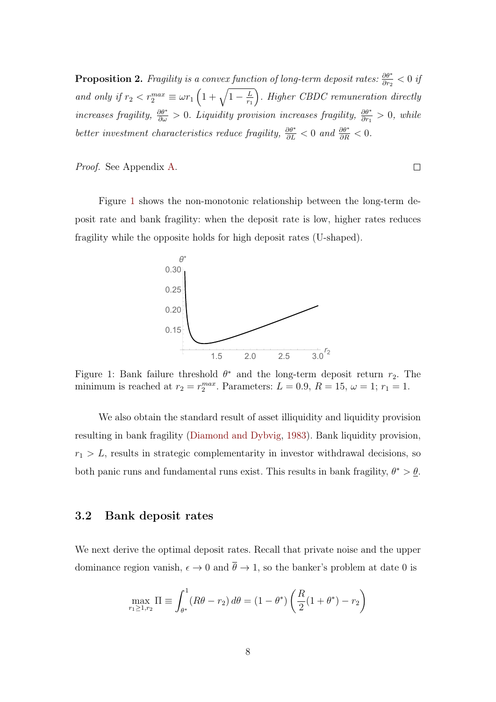<span id="page-7-0"></span>**Proposition 2.** Fragility is a convex function of long-term deposit rates:  $\frac{\partial \theta^*}{\partial r_2} < 0$  if and only if  $r_2 < r_2^{max} \equiv \omega r_1 \left(1 + \sqrt{1 - \frac{L}{r_1}}\right)$  $r_1$  . Higher CBDC remuneration directly increases fragility,  $\frac{\partial \theta^*}{\partial \omega} > 0$ . Liquidity provision increases fragility,  $\frac{\partial \theta^*}{\partial r_1} > 0$ , while better investment characteristics reduce fragility,  $\frac{\partial \theta^*}{\partial L} < 0$  and  $\frac{\partial \theta^*}{\partial R} < 0$ .

Proof. See Appendix [A.](#page-14-0)

<span id="page-7-1"></span>Figure [1](#page-7-1) shows the non-monotonic relationship between the long-term deposit rate and bank fragility: when the deposit rate is low, higher rates reduces fragility while the opposite holds for high deposit rates (U-shaped).

 $\Box$ 



Figure 1: Bank failure threshold  $\theta^*$  and the long-term deposit return  $r_2$ . The minimum is reached at  $r_2 = r_2^{max}$ . Parameters:  $L = 0.9$ ,  $R = 15$ ,  $\omega = 1$ ;  $r_1 = 1$ .

We also obtain the standard result of asset illiquidity and liquidity provision resulting in bank fragility [\(Diamond and Dybvig,](#page-23-7) [1983\)](#page-23-7). Bank liquidity provision,  $r_1 > L$ , results in strategic complementarity in investor withdrawal decisions, so both panic runs and fundamental runs exist. This results in bank fragility,  $\theta^* > \theta$ .

## 3.2 Bank deposit rates

We next derive the optimal deposit rates. Recall that private noise and the upper dominance region vanish,  $\epsilon \to 0$  and  $\bar{\theta} \to 1$ , so the banker's problem at date 0 is

$$
\max_{r_1 \ge 1, r_2} \Pi \equiv \int_{\theta^*}^1 (R\theta - r_2) \, d\theta = (1 - \theta^*) \left( \frac{R}{2} (1 + \theta^*) - r_2 \right)
$$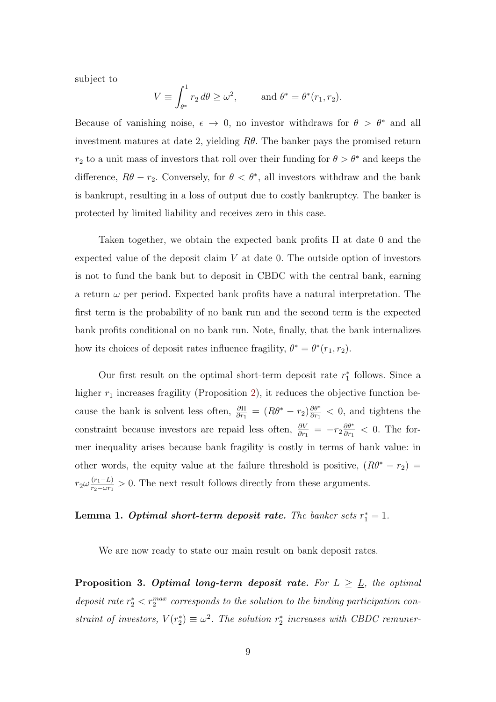subject to

$$
V \equiv \int_{\theta^*}^1 r_2 \, d\theta \ge \omega^2, \qquad \text{and } \theta^* = \theta^*(r_1, r_2).
$$

Because of vanishing noise,  $\epsilon \to 0$ , no investor withdraws for  $\theta > \theta^*$  and all investment matures at date 2, yielding  $R\theta$ . The banker pays the promised return  $r_2$  to a unit mass of investors that roll over their funding for  $\theta > \theta^*$  and keeps the difference,  $R\theta - r_2$ . Conversely, for  $\theta < \theta^*$ , all investors withdraw and the bank is bankrupt, resulting in a loss of output due to costly bankruptcy. The banker is protected by limited liability and receives zero in this case.

Taken together, we obtain the expected bank profits Π at date 0 and the expected value of the deposit claim  $V$  at date 0. The outside option of investors is not to fund the bank but to deposit in CBDC with the central bank, earning a return  $\omega$  per period. Expected bank profits have a natural interpretation. The first term is the probability of no bank run and the second term is the expected bank profits conditional on no bank run. Note, finally, that the bank internalizes how its choices of deposit rates influence fragility,  $\theta^* = \theta^*(r_1, r_2)$ .

Our first result on the optimal short-term deposit rate  $r_1^*$  follows. Since a higher  $r_1$  increases fragility (Proposition [2\)](#page-7-0), it reduces the objective function because the bank is solvent less often,  $\frac{\partial \Pi}{\partial r_1} = (R\theta^* - r_2) \frac{\partial \theta^*}{\partial r_1}$  $\frac{\partial \theta^*}{\partial r_1}$  < 0, and tightens the constraint because investors are repaid less often,  $\frac{\partial V}{\partial r_1} = -r_2 \frac{\partial \theta^*}{\partial r_1}$  $\frac{\partial \theta^*}{\partial r_1} < 0$ . The former inequality arises because bank fragility is costly in terms of bank value: in other words, the equity value at the failure threshold is positive,  $(R\theta^* - r_2)$  =  $r_2\omega\frac{(r_1 - L)}{r_2 - \omega r_1}$  $\frac{(r_1 - L)}{r_2 - \omega r_1} > 0$ . The next result follows directly from these arguments.

## **Lemma 1. Optimal short-term deposit rate.** The banker sets  $r_1^* = 1$ .

We are now ready to state our main result on bank deposit rates.

<span id="page-8-0"></span>**Proposition 3. Optimal long-term deposit rate.** For  $L \geq L$ , the optimal deposit rate  $r_2^* < r_2^{max}$  corresponds to the solution to the binding participation constraint of investors,  $V(r_2^*) \equiv \omega^2$ . The solution  $r_2^*$  increases with CBDC remuner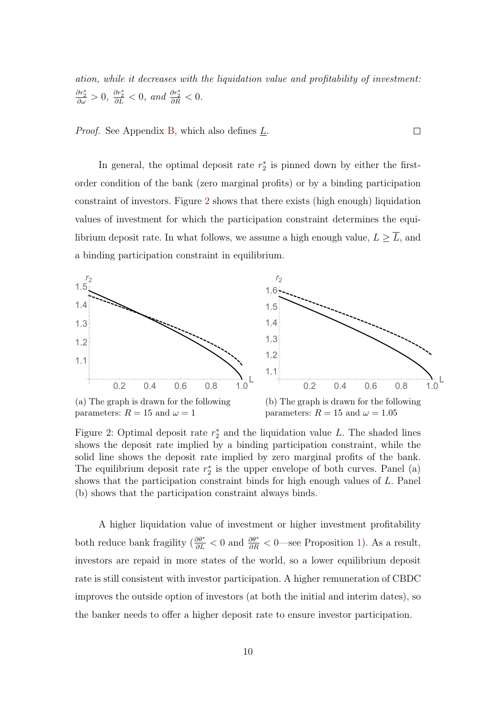ation, while it decreases with the liquidation value and profitability of investment:  $\frac{\partial r_2^*}{\partial \omega} > 0$ ,  $\frac{\partial r_2^*}{\partial L} < 0$ , and  $\frac{\partial r_2^*}{\partial R} < 0$ .

 $\Box$ 

*Proof.* See Appendix [B,](#page-16-0) which also defines  $\underline{L}$ .

In general, the optimal deposit rate  $r_2^*$  is pinned down by either the firstorder condition of the bank (zero marginal profits) or by a binding participation constraint of investors. Figure [2](#page-9-0) shows that there exists (high enough) liquidation values of investment for which the participation constraint determines the equilibrium deposit rate. In what follows, we assume a high enough value,  $L \geq \overline{L}$ , and a binding participation constraint in equilibrium.

<span id="page-9-0"></span>

Figure 2: Optimal deposit rate  $r_2^*$  and the liquidation value L. The shaded lines shows the deposit rate implied by a binding participation constraint, while the solid line shows the deposit rate implied by zero marginal profits of the bank. The equilibrium deposit rate  $r_2^*$  is the upper envelope of both curves. Panel (a) shows that the participation constraint binds for high enough values of L. Panel (b) shows that the participation constraint always binds.

A higher liquidation value of investment or higher investment profitability both reduce bank fragility  $\left(\frac{\partial \theta^*}{\partial L} < 0\right)$  and  $\frac{\partial \theta^*}{\partial R} < 0$ —see Proposition [1\)](#page-6-0). As a result, investors are repaid in more states of the world, so a lower equilibrium deposit rate is still consistent with investor participation. A higher remuneration of CBDC improves the outside option of investors (at both the initial and interim dates), so the banker needs to offer a higher deposit rate to ensure investor participation.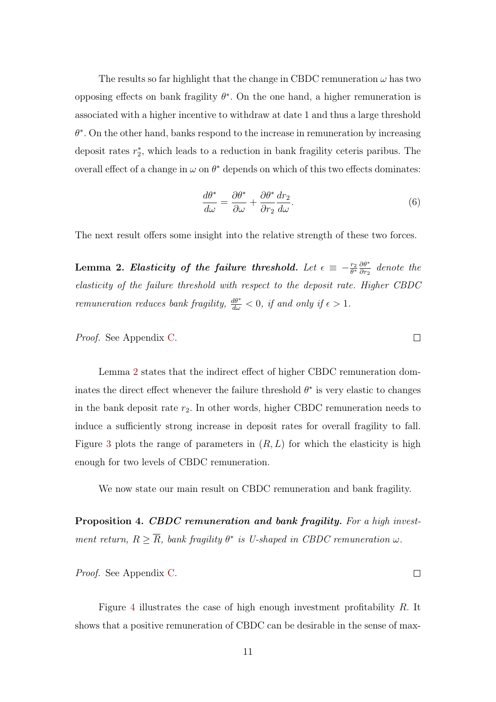The results so far highlight that the change in CBDC remuneration  $\omega$  has two opposing effects on bank fragility  $\theta^*$ . On the one hand, a higher remuneration is associated with a higher incentive to withdraw at date 1 and thus a large threshold  $\theta^*$ . On the other hand, banks respond to the increase in remuneration by increasing deposit rates  $r_2^*$ , which leads to a reduction in bank fragility ceteris paribus. The overall effect of a change in  $\omega$  on  $\theta^*$  depends on which of this two effects dominates:

$$
\frac{d\theta^*}{d\omega} = \frac{\partial \theta^*}{\partial \omega} + \frac{\partial \theta^*}{\partial r_2} \frac{dr_2}{d\omega}.
$$
\n(6)

The next result offers some insight into the relative strength of these two forces.

<span id="page-10-1"></span>Lemma 2. Elasticity of the failure threshold. Let  $\epsilon \,\equiv\, -\frac{r_2}{\theta^*}\frac{\partial \theta^*}{\partial r_2}$  $\frac{\partial \theta^*}{\partial r_2}$  denote the elasticity of the failure threshold with respect to the deposit rate. Higher CBDC remuneration reduces bank fragility,  $\frac{d\theta^*}{d\omega} < 0$ , if and only if  $\epsilon > 1$ .

Proof. See Appendix [C.](#page-20-0)

Lemma [2](#page-10-1) states that the indirect effect of higher CBDC remuneration dominates the direct effect whenever the failure threshold  $\theta^*$  is very elastic to changes in the bank deposit rate  $r_2$ . In other words, higher CBDC remuneration needs to induce a sufficiently strong increase in deposit rates for overall fragility to fall. Figure [3](#page-11-0) plots the range of parameters in  $(R, L)$  for which the elasticity is high enough for two levels of CBDC remuneration.

We now state our main result on CBDC remuneration and bank fragility.

<span id="page-10-0"></span>Proposition 4. CBDC remuneration and bank fragility. For a high investment return,  $R \geq \overline{R}$ , bank fragility  $\theta^*$  is U-shaped in CBDC remuneration  $\omega$ .

Proof. See Appendix [C.](#page-20-0)

Figure [4](#page-11-1) illustrates the case of high enough investment profitability R. It shows that a positive remuneration of CBDC can be desirable in the sense of max-

 $\Box$ 

 $\Box$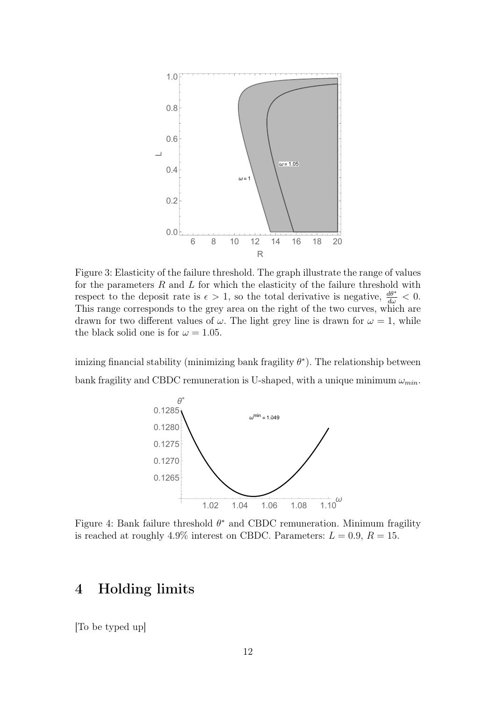<span id="page-11-0"></span>

Figure 3: Elasticity of the failure threshold. The graph illustrate the range of values for the parameters  $R$  and  $L$  for which the elasticity of the failure threshold with respect to the deposit rate is  $\epsilon > 1$ , so the total derivative is negative,  $\frac{d\theta^*}{d\omega} < 0$ . This range corresponds to the grey area on the right of the two curves, which are drawn for two different values of  $\omega$ . The light grey line is drawn for  $\omega = 1$ , while the black solid one is for  $\omega = 1.05$ .

<span id="page-11-1"></span>imizing financial stability (minimizing bank fragility  $\theta^*$ ). The relationship between bank fragility and CBDC remuneration is U-shaped, with a unique minimum  $\omega_{min}$ .



Figure 4: Bank failure threshold  $\theta^*$  and CBDC remuneration. Minimum fragility is reached at roughly 4.9% interest on CBDC. Parameters:  $L = 0.9$ ,  $R = 15$ .

## 4 Holding limits

[To be typed up]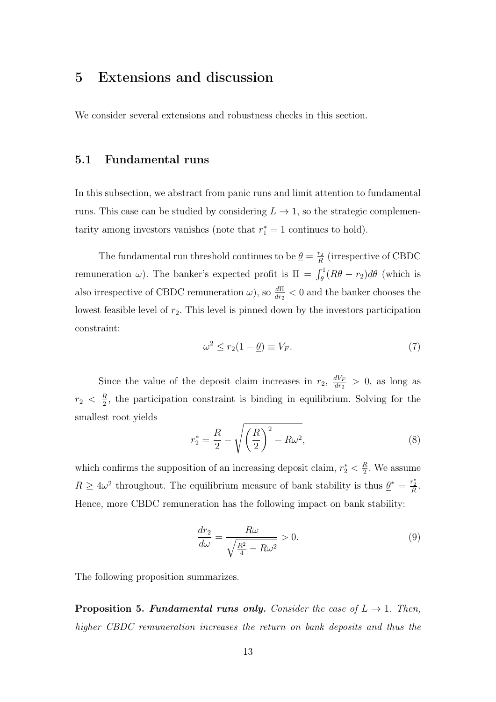# 5 Extensions and discussion

We consider several extensions and robustness checks in this section.

## 5.1 Fundamental runs

In this subsection, we abstract from panic runs and limit attention to fundamental runs. This case can be studied by considering  $L \to 1$ , so the strategic complementarity among investors vanishes (note that  $r_1^* = 1$  continues to hold).

The fundamental run threshold continues to be  $\theta = \frac{r_2}{R}$  $\frac{r_2}{R}$  (irrespective of CBDC remuneration  $\omega$ ). The banker's expected profit is  $\Pi = \int_{\underline{\theta}}^1 (R\theta - r_2) d\theta$  (which is also irrespective of CBDC remuneration  $\omega$ ), so  $\frac{d\Pi}{dr_2} < 0$  and the banker chooses the lowest feasible level of  $r_2$ . This level is pinned down by the investors participation constraint:

$$
\omega^2 \le r_2(1 - \underline{\theta}) \equiv V_F. \tag{7}
$$

Since the value of the deposit claim increases in  $r_2$ ,  $\frac{dV_F}{dr_2}$  $\frac{dV_F}{dr_2} > 0$ , as long as  $r_2 \; < \; \frac{R}{2}$  $\frac{R}{2}$ , the participation constraint is binding in equilibrium. Solving for the smallest root yields

$$
r_2^* = \frac{R}{2} - \sqrt{\left(\frac{R}{2}\right)^2 - R\omega^2},\tag{8}
$$

which confirms the supposition of an increasing deposit claim,  $r_2^* < \frac{R}{2}$  $\frac{R}{2}$ . We assume  $R \geq 4\omega^2$  throughout. The equilibrium measure of bank stability is thus  $\underline{\theta}^* = \frac{r_2^*}{R}$ . Hence, more CBDC remuneration has the following impact on bank stability:

$$
\frac{dr_2}{d\omega} = \frac{R\omega}{\sqrt{\frac{R^2}{4} - R\omega^2}} > 0.
$$
\n(9)

The following proposition summarizes.

<span id="page-12-0"></span>**Proposition 5. Fundamental runs only.** Consider the case of  $L \rightarrow 1$ . Then, higher CBDC remuneration increases the return on bank deposits and thus the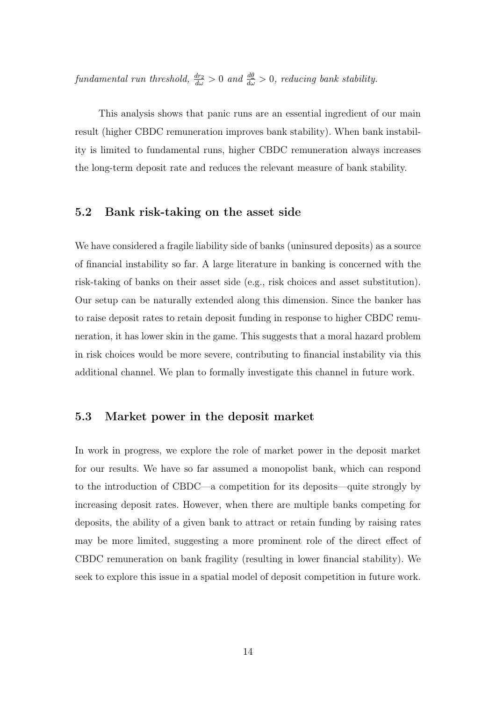$\emph{fundamental run threshold}, \frac{dr_2}{d\omega} > 0 \text{ and } \frac{d\theta}{d\omega} > 0, \text{ reducing bank stability}.$ 

This analysis shows that panic runs are an essential ingredient of our main result (higher CBDC remuneration improves bank stability). When bank instability is limited to fundamental runs, higher CBDC remuneration always increases the long-term deposit rate and reduces the relevant measure of bank stability.

#### 5.2 Bank risk-taking on the asset side

We have considered a fragile liability side of banks (uninsured deposits) as a source of financial instability so far. A large literature in banking is concerned with the risk-taking of banks on their asset side (e.g., risk choices and asset substitution). Our setup can be naturally extended along this dimension. Since the banker has to raise deposit rates to retain deposit funding in response to higher CBDC remuneration, it has lower skin in the game. This suggests that a moral hazard problem in risk choices would be more severe, contributing to financial instability via this additional channel. We plan to formally investigate this channel in future work.

#### 5.3 Market power in the deposit market

In work in progress, we explore the role of market power in the deposit market for our results. We have so far assumed a monopolist bank, which can respond to the introduction of CBDC—a competition for its deposits—quite strongly by increasing deposit rates. However, when there are multiple banks competing for deposits, the ability of a given bank to attract or retain funding by raising rates may be more limited, suggesting a more prominent role of the direct effect of CBDC remuneration on bank fragility (resulting in lower financial stability). We seek to explore this issue in a spatial model of deposit competition in future work.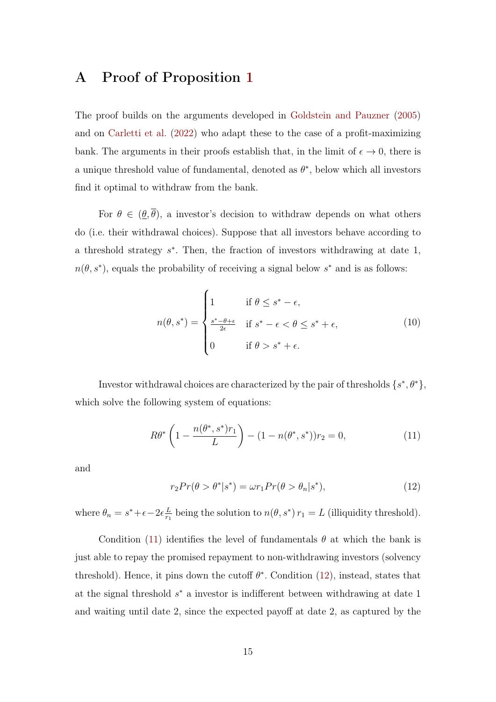## <span id="page-14-0"></span>A Proof of Proposition [1](#page-6-0)

The proof builds on the arguments developed in [Goldstein and Pauzner](#page-23-4) [\(2005\)](#page-23-4) and on [Carletti et al.](#page-23-5) [\(2022\)](#page-23-5) who adapt these to the case of a profit-maximizing bank. The arguments in their proofs establish that, in the limit of  $\epsilon \to 0$ , there is a unique threshold value of fundamental, denoted as  $\theta^*$ , below which all investors find it optimal to withdraw from the bank.

For  $\theta \in (\underline{\theta}, \overline{\theta})$ , a investor's decision to withdraw depends on what others do (i.e. their withdrawal choices). Suppose that all investors behave according to a threshold strategy  $s^*$ . Then, the fraction of investors withdrawing at date 1,  $n(\theta, s^*)$ , equals the probability of receiving a signal below  $s^*$  and is as follows:

<span id="page-14-3"></span>
$$
n(\theta, s^*) = \begin{cases} 1 & \text{if } \theta \le s^* - \epsilon, \\ \frac{s^* - \theta + \epsilon}{2\epsilon} & \text{if } s^* - \epsilon < \theta \le s^* + \epsilon, \\ 0 & \text{if } \theta > s^* + \epsilon. \end{cases} \tag{10}
$$

Investor withdrawal choices are characterized by the pair of thresholds  $\{s^*,\theta^*\}$ , which solve the following system of equations:

<span id="page-14-1"></span>
$$
R\theta^* \left(1 - \frac{n(\theta^*, s^*)r_1}{L}\right) - (1 - n(\theta^*, s^*))r_2 = 0,
$$
\n(11)

and

<span id="page-14-2"></span>
$$
r_2 Pr(\theta > \theta^* | s^*) = \omega r_1 Pr(\theta > \theta_n | s^*), \qquad (12)
$$

where  $\theta_n = s^* + \epsilon - 2\epsilon \frac{L}{r_1}$  $\frac{L}{r_1}$  being the solution to  $n(\theta, s^*) r_1 = L$  (illiquidity threshold).

Condition [\(11\)](#page-14-1) identifies the level of fundamentals  $\theta$  at which the bank is just able to repay the promised repayment to non-withdrawing investors (solvency threshold). Hence, it pins down the cutoff  $\theta^*$ . Condition [\(12\)](#page-14-2), instead, states that at the signal threshold  $s^*$  a investor is indifferent between withdrawing at date 1 and waiting until date 2, since the expected payoff at date 2, as captured by the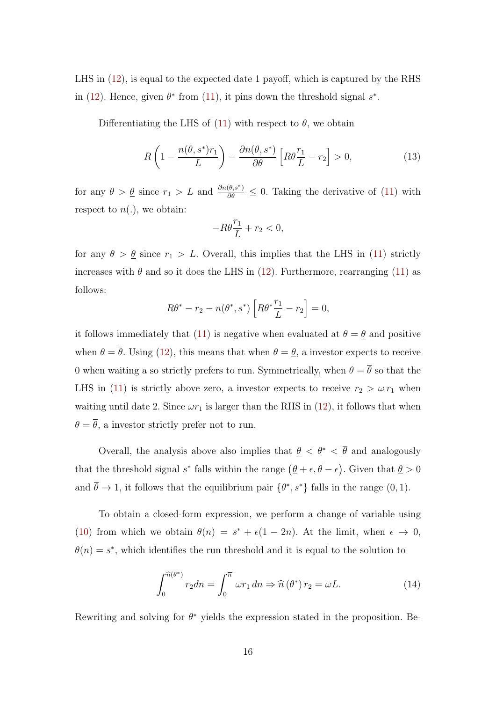LHS in [\(12\)](#page-14-2), is equal to the expected date 1 payoff, which is captured by the RHS in [\(12\)](#page-14-2). Hence, given  $\theta^*$  from [\(11\)](#page-14-1), it pins down the threshold signal  $s^*$ .

Differentiating the LHS of [\(11\)](#page-14-1) with respect to  $\theta$ , we obtain

$$
R\left(1 - \frac{n(\theta, s^*)r_1}{L}\right) - \frac{\partial n(\theta, s^*)}{\partial \theta} \left[R\theta \frac{r_1}{L} - r_2\right] > 0,\tag{13}
$$

for any  $\theta > \underline{\theta}$  since  $r_1 > L$  and  $\frac{\partial n(\theta, s^*)}{\partial \theta} \leq 0$ . Taking the derivative of [\(11\)](#page-14-1) with respect to  $n(.)$ , we obtain:

$$
-R\theta \frac{r_1}{L} + r_2 < 0,
$$

for any  $\theta > \underline{\theta}$  since  $r_1 > L$ . Overall, this implies that the LHS in [\(11\)](#page-14-1) strictly increases with  $\theta$  and so it does the LHS in [\(12\)](#page-14-2). Furthermore, rearranging [\(11\)](#page-14-1) as follows:

$$
R\theta^* - r_2 - n(\theta^*, s^*) \left[ R\theta^* \frac{r_1}{L} - r_2 \right] = 0,
$$

it follows immediately that [\(11\)](#page-14-1) is negative when evaluated at  $\theta = \theta$  and positive when  $\theta = \overline{\theta}$ . Using [\(12\)](#page-14-2), this means that when  $\theta = \underline{\theta}$ , a investor expects to receive 0 when waiting a so strictly prefers to run. Symmetrically, when  $\theta = \overline{\theta}$  so that the LHS in [\(11\)](#page-14-1) is strictly above zero, a investor expects to receive  $r_2 > \omega r_1$  when waiting until date 2. Since  $\omega r_1$  is larger than the RHS in [\(12\)](#page-14-2), it follows that when  $\theta = \overline{\theta}$ , a investor strictly prefer not to run.

Overall, the analysis above also implies that  $\theta < \theta^* < \overline{\theta}$  and analogously that the threshold signal s<sup>\*</sup> falls within the range  $(\underline{\theta} + \epsilon, \overline{\theta} - \epsilon)$ . Given that  $\underline{\theta} > 0$ and  $\bar{\theta} \to 1$ , it follows that the equilibrium pair  $\{\theta^*, s^*\}$  falls in the range  $(0, 1)$ .

To obtain a closed-form expression, we perform a change of variable using [\(10\)](#page-14-3) from which we obtain  $\theta(n) = s^* + \epsilon(1 - 2n)$ . At the limit, when  $\epsilon \to 0$ ,  $\theta(n) = s^*$ , which identifies the run threshold and it is equal to the solution to

$$
\int_0^{\widehat{n}(\theta^*)} r_2 dn = \int_0^{\overline{n}} \omega r_1 dn \Rightarrow \widehat{n}(\theta^*) r_2 = \omega L.
$$
 (14)

Rewriting and solving for  $\theta^*$  yields the expression stated in the proposition. Be-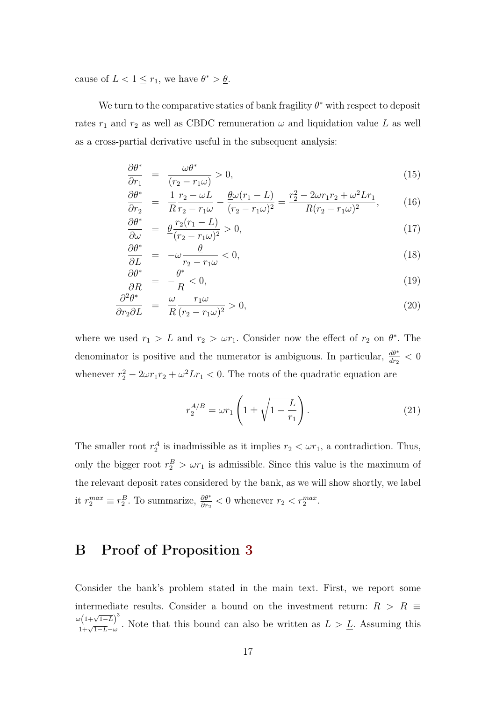cause of  $L < 1 \leq r_1$ , we have  $\theta^* > \underline{\theta}$ .

We turn to the comparative statics of bank fragility  $\theta^*$  with respect to deposit rates  $r_1$  and  $r_2$  as well as CBDC remuneration  $\omega$  and liquidation value L as well as a cross-partial derivative useful in the subsequent analysis:

$$
\frac{\partial \theta^*}{\partial r_1} = \frac{\omega \theta^*}{(r_2 - r_1 \omega)} > 0,
$$
\n(15)

$$
\frac{\partial \theta^*}{\partial r_2} = \frac{1}{R} \frac{r_2 - \omega L}{r_2 - r_1 \omega} - \frac{\theta \omega (r_1 - L)}{(r_2 - r_1 \omega)^2} = \frac{r_2^2 - 2\omega r_1 r_2 + \omega^2 L r_1}{R(r_2 - r_1 \omega)^2},\tag{16}
$$

$$
\frac{\partial \theta^*}{\partial \omega} = \frac{\theta \frac{r_2(r_1 - L)}{(r_2 - r_1 \omega)^2} > 0, \tag{17}
$$

$$
\frac{\partial \theta^*}{\partial L} = -\omega \frac{\theta}{r_2 - r_1 \omega} < 0,\tag{18}
$$

$$
\frac{\partial \theta^*}{\partial R} = -\frac{\theta^*}{R} < 0,\tag{19}
$$

$$
\frac{\partial^2 \theta^*}{\partial r_2 \partial L} = \frac{\omega}{R} \frac{r_1 \omega}{(r_2 - r_1 \omega)^2} > 0,
$$
\n(20)

where we used  $r_1 > L$  and  $r_2 > \omega r_1$ . Consider now the effect of  $r_2$  on  $\theta^*$ . The denominator is positive and the numerator is ambiguous. In particular,  $\frac{d\theta^*}{dr_2} < 0$ whenever  $r_2^2 - 2\omega r_1 r_2 + \omega^2 L r_1 < 0$ . The roots of the quadratic equation are

$$
r_2^{A/B} = \omega r_1 \left( 1 \pm \sqrt{1 - \frac{L}{r_1}} \right). \tag{21}
$$

The smaller root  $r_2^A$  is inadmissible as it implies  $r_2 < \omega r_1$ , a contradiction. Thus, only the bigger root  $r_2^B > \omega r_1$  is admissible. Since this value is the maximum of the relevant deposit rates considered by the bank, as we will show shortly, we label it  $r_2^{max} \equiv r_2^B$ . To summarize,  $\frac{\partial \theta^*}{\partial r_2} < 0$  whenever  $r_2 < r_2^{max}$ .

# <span id="page-16-0"></span>B Proof of Proposition [3](#page-8-0)

Consider the bank's problem stated in the main text. First, we report some intermediate results. Consider a bound on the investment return:  $R$  >  $\underline{R}$   $\equiv$  $\omega(1+\sqrt{1-L})^3$  $\frac{1+\sqrt{1-L}-L}{1+\sqrt{1-L}-\omega}$ . Note that this bound can also be written as  $L > L$ . Assuming this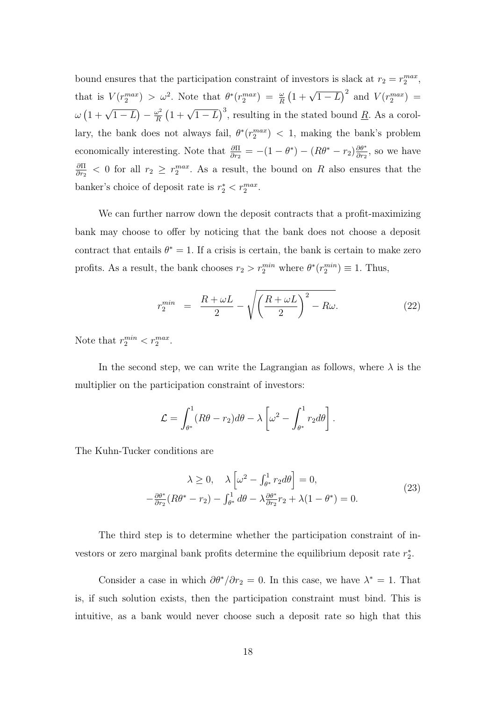bound ensures that the participation constraint of investors is slack at  $r_2 = r_2^{max}$ , that is  $V(r_2^{max}) > \omega^2$ . Note that  $\theta^*(r_2^{max}) = \frac{\omega}{R} (1 + \sqrt{1-L})^2$  and  $V(r_2^{max}) =$  $\omega \left( 1 + \sqrt{1-L} \right) - \frac{\omega^2}{R}$  $\frac{\omega^2}{R}$   $\left(1+\sqrt{1-L}\right)^3$ , resulting in the stated bound <u>R</u>. As a corollary, the bank does not always fail,  $\theta^*(r_2^{max}) < 1$ , making the bank's problem economically interesting. Note that  $\frac{\partial \Pi}{\partial r_2} = -(1 - \theta^*) - (R\theta^* - r_2) \frac{\partial \theta^*}{\partial r_2}$  $\frac{\partial \theta^*}{\partial r_2}$ , so we have ∂Π  $\frac{\partial \Pi}{\partial r_2}$  < 0 for all  $r_2 \geq r_2^{max}$ . As a result, the bound on R also ensures that the banker's choice of deposit rate is  $r_2^* < r_2^{max}$ .

We can further narrow down the deposit contracts that a profit-maximizing bank may choose to offer by noticing that the bank does not choose a deposit contract that entails  $\theta^* = 1$ . If a crisis is certain, the bank is certain to make zero profits. As a result, the bank chooses  $r_2 > r_2^{min}$  where  $\theta^*(r_2^{min}) \equiv 1$ . Thus,

$$
r_2^{min} = \frac{R + \omega L}{2} - \sqrt{\left(\frac{R + \omega L}{2}\right)^2 - R\omega}.
$$
 (22)

Note that  $r_2^{min} < r_2^{max}$ .

In the second step, we can write the Lagrangian as follows, where  $\lambda$  is the multiplier on the participation constraint of investors:

$$
\mathcal{L} = \int_{\theta^*}^1 (R\theta - r_2) d\theta - \lambda \left[ \omega^2 - \int_{\theta^*}^1 r_2 d\theta \right].
$$

The Kuhn-Tucker conditions are

$$
\lambda \ge 0, \quad \lambda \left[ \omega^2 - \int_{\theta^*}^1 r_2 d\theta \right] = 0,
$$
  

$$
-\frac{\partial \theta^*}{\partial r_2} (R\theta^* - r_2) - \int_{\theta^*}^1 d\theta - \lambda \frac{\partial \theta^*}{\partial r_2} r_2 + \lambda (1 - \theta^*) = 0.
$$
 (23)

The third step is to determine whether the participation constraint of investors or zero marginal bank profits determine the equilibrium deposit rate  $r_2^*$ .

Consider a case in which  $\partial \theta^* / \partial r_2 = 0$ . In this case, we have  $\lambda^* = 1$ . That is, if such solution exists, then the participation constraint must bind. This is intuitive, as a bank would never choose such a deposit rate so high that this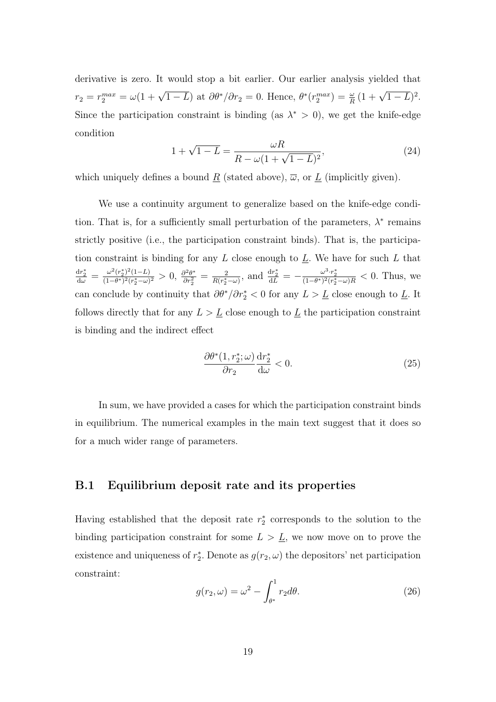derivative is zero. It would stop a bit earlier. Our earlier analysis yielded that  $r_2 = r_2^{max} = \omega(1 + \sqrt{1 - L})$  at  $\partial \theta^* / \partial r_2 = 0$ . Hence,  $\theta^* (r_2^{max}) = \frac{\omega}{R} (1 + \sqrt{1 - L})^2$ . Since the participation constraint is binding (as  $\lambda^* > 0$ ), we get the knife-edge condition

$$
1 + \sqrt{1 - L} = \frac{\omega R}{R - \omega (1 + \sqrt{1 - L})^2},
$$
\n(24)

which uniquely defines a bound  $\underline{R}$  (stated above),  $\overline{\omega}$ , or  $\underline{L}$  (implicitly given).

We use a continuity argument to generalize based on the knife-edge condition. That is, for a sufficiently small perturbation of the parameters,  $\lambda^*$  remains strictly positive (i.e., the participation constraint binds). That is, the participation constraint is binding for any  $L$  close enough to  $L$ . We have for such  $L$  that  $\frac{\mathrm{d}r_2^*}{\mathrm{d}\omega} = \frac{\omega^2 (r_2^*)^2 (1-L)}{(1-\theta^*)^2 (r_2^*-\omega)}$  $\frac{\omega^2 (r_2^*)^2 (1-L)}{(1-\theta^*)^2 (r_2^*-\omega)^2} > 0, \frac{\partial^2 \theta^*}{\partial r_2^2}$  $\frac{\partial^2 \theta^*}{\partial r_2^2} = \frac{2}{R(r_2^*)}$  $\frac{2}{R(r_2^*-\omega)}$ , and  $\frac{dr_2^*}{dL}=-\frac{\omega^3 \cdot r_2^*}{(1-\theta^*)^2(r_2^*-\omega)R} < 0$ . Thus, we can conclude by continuity that  $\partial \theta^* / \partial r_2^* < 0$  for any  $L > \underline{L}$  close enough to  $\underline{L}$ . It follows directly that for any  $L > L$  close enough to  $L$  the participation constraint is binding and the indirect effect

$$
\frac{\partial \theta^*(1, r_2^*; \omega)}{\partial r_2} \frac{\mathrm{d}r_2^*}{\mathrm{d}\omega} < 0. \tag{25}
$$

In sum, we have provided a cases for which the participation constraint binds in equilibrium. The numerical examples in the main text suggest that it does so for a much wider range of parameters.

### B.1 Equilibrium deposit rate and its properties

Having established that the deposit rate  $r_2^*$  corresponds to the solution to the binding participation constraint for some  $L > L$ , we now move on to prove the existence and uniqueness of  $r_2^*$ . Denote as  $g(r_2, \omega)$  the depositors' net participation constraint:

<span id="page-18-0"></span>
$$
g(r_2, \omega) = \omega^2 - \int_{\theta^*}^1 r_2 d\theta.
$$
 (26)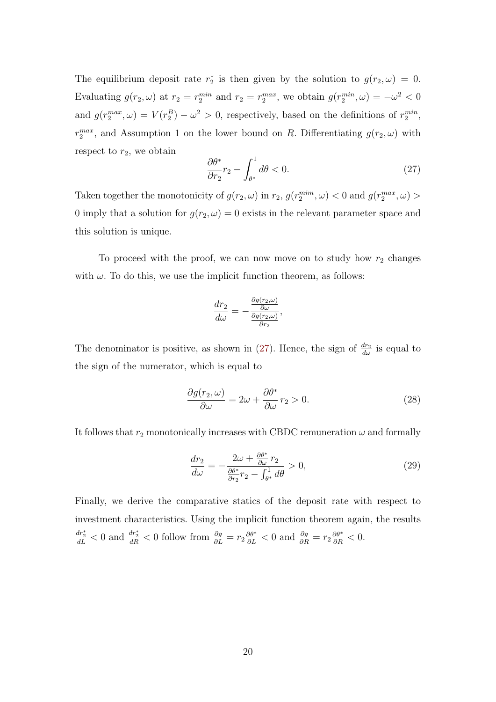The equilibrium deposit rate  $r_2^*$  is then given by the solution to  $g(r_2,\omega) = 0$ . Evaluating  $g(r_2, \omega)$  at  $r_2 = r_2^{min}$  and  $r_2 = r_2^{max}$ , we obtain  $g(r_2^{min}, \omega) = -\omega^2 < 0$ and  $g(r_2^{max}, \omega) = V(r_2^B) - \omega^2 > 0$ , respectively, based on the definitions of  $r_2^{min}$ ,  $r_2^{max}$ , and Assumption 1 on the lower bound on R. Differentiating  $g(r_2, \omega)$  with respect to  $r_2$ , we obtain

<span id="page-19-0"></span>
$$
\frac{\partial \theta^*}{\partial r_2} r_2 - \int_{\theta^*}^1 d\theta < 0. \tag{27}
$$

Taken together the monotonicity of  $g(r_2, \omega)$  in  $r_2$ ,  $g(r_2^{mim}, \omega) < 0$  and  $g(r_2^{max}, \omega) >$ 0 imply that a solution for  $g(r_2, \omega) = 0$  exists in the relevant parameter space and this solution is unique.

To proceed with the proof, we can now move on to study how  $r_2$  changes with  $\omega$ . To do this, we use the implicit function theorem, as follows:

$$
\frac{dr_2}{d\omega} = -\frac{\frac{\partial g(r_2,\omega)}{\partial \omega}}{\frac{\partial g(r_2,\omega)}{\partial r_2}},
$$

The denominator is positive, as shown in [\(27\)](#page-19-0). Hence, the sign of  $\frac{dr_2}{d\omega}$  is equal to the sign of the numerator, which is equal to

$$
\frac{\partial g(r_2,\omega)}{\partial \omega} = 2\omega + \frac{\partial \theta^*}{\partial \omega} r_2 > 0.
$$
 (28)

It follows that  $r_2$  monotonically increases with CBDC remuneration  $\omega$  and formally

<span id="page-19-1"></span>
$$
\frac{dr_2}{d\omega} = -\frac{2\omega + \frac{\partial \theta^*}{\partial \omega} r_2}{\frac{\partial \theta^*}{\partial r_2} r_2 - \int_{\theta^*}^1 d\theta} > 0,
$$
\n(29)

Finally, we derive the comparative statics of the deposit rate with respect to investment characteristics. Using the implicit function theorem again, the results  $\frac{dr_2^*}{dL} < 0$  and  $\frac{dr_2^*}{dR} < 0$  follow from  $\frac{\partial g}{\partial L} = r_2 \frac{\partial \theta^*}{\partial L} < 0$  and  $\frac{\partial g}{\partial R} = r_2 \frac{\partial \theta^*}{\partial R} < 0$ .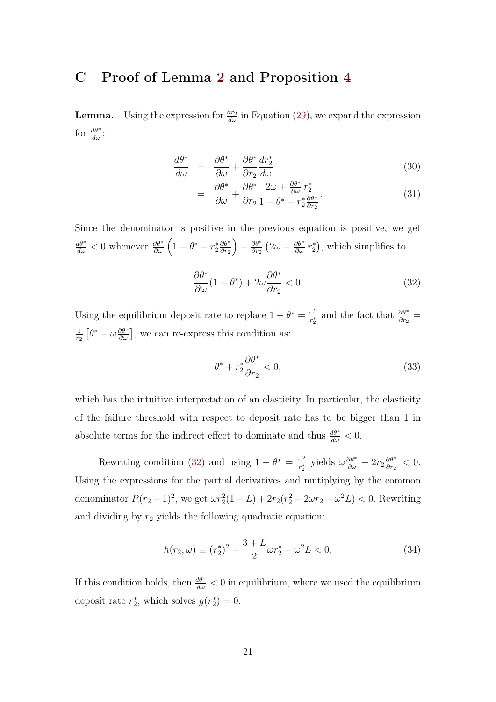## <span id="page-20-0"></span>C Proof of Lemma [2](#page-10-1) and Proposition [4](#page-10-0)

**Lemma.** Using the expression for  $\frac{dr_2}{d\omega}$  in Equation [\(29\)](#page-19-1), we expand the expression for  $\frac{d\theta^*}{d\omega}$ :

$$
\frac{d\theta^*}{d\omega} = \frac{\partial \theta^*}{\partial \omega} + \frac{\partial \theta^*}{\partial r_2} \frac{dr_2^*}{d\omega} \tag{30}
$$

$$
= \frac{\partial \theta^*}{\partial \omega} + \frac{\partial \theta^*}{\partial r_2} \frac{2\omega + \frac{\partial \theta^*}{\partial \omega} r_2^*}{1 - \theta^* - r_2^* \frac{\partial \theta^*}{\partial r_2}}.
$$
(31)

Since the denominator is positive in the previous equation is positive, we get  $\frac{d\theta^*}{d\omega} < 0$  whenever  $\frac{\partial \theta^*}{\partial \omega} \left(1 - \theta^* - r_2^* \frac{\partial \theta^*}{\partial r_2}\right)$  $\partial r_2$  $+\frac{\partial \theta^*}{\partial r_0}$  $\frac{\partial \theta^*}{\partial r_2} (2\omega + \frac{\partial \theta^*}{\partial \omega} r_2^*)$ , which simplifies to

<span id="page-20-1"></span>
$$
\frac{\partial \theta^*}{\partial \omega} (1 - \theta^*) + 2\omega \frac{\partial \theta^*}{\partial r_2} < 0. \tag{32}
$$

Using the equilibrium deposit rate to replace  $1 - \theta^* = \frac{\omega^2}{n^*}$  $\frac{\omega^2}{r_2^*}$  and the fact that  $\frac{\partial \theta^*}{\partial r_2}$  = 1  $\frac{1}{r_2} \left[ \theta^* - \omega \frac{\partial \theta^*}{\partial \omega} \right]$ , we can re-express this condition as:

<span id="page-20-3"></span>
$$
\theta^* + r_2^* \frac{\partial \theta^*}{\partial r_2} < 0,\tag{33}
$$

which has the intuitive interpretation of an elasticity. In particular, the elasticity of the failure threshold with respect to deposit rate has to be bigger than 1 in absolute terms for the indirect effect to dominate and thus  $\frac{d\theta^*}{d\omega} < 0$ .

Rewriting condition [\(32\)](#page-20-1) and using  $1 - \theta^* = \frac{\omega^2}{r^*}$  $\frac{\omega^2}{r_2^*}$  yields  $\omega \frac{\partial \theta^*}{\partial \omega} + 2r_2 \frac{\partial \theta^*}{\partial r_2}$  $\frac{\partial \theta^*}{\partial r_2} < 0.$ Using the expressions for the partial derivatives and mutiplying by the common denominator  $R(r_2 - 1)^2$ , we get  $\omega r_2^2(1 - L) + 2r_2(r_2^2 - 2\omega r_2 + \omega^2 L) < 0$ . Rewriting and dividing by  $r_2$  yields the following quadratic equation:

<span id="page-20-2"></span>
$$
h(r_2, \omega) \equiv (r_2^*)^2 - \frac{3+L}{2}\omega r_2^* + \omega^2 L < 0. \tag{34}
$$

If this condition holds, then  $\frac{d\theta^*}{d\omega} < 0$  in equilibrium, where we used the equilibrium deposit rate  $r_2^*$ , which solves  $g(r_2^*)=0$ .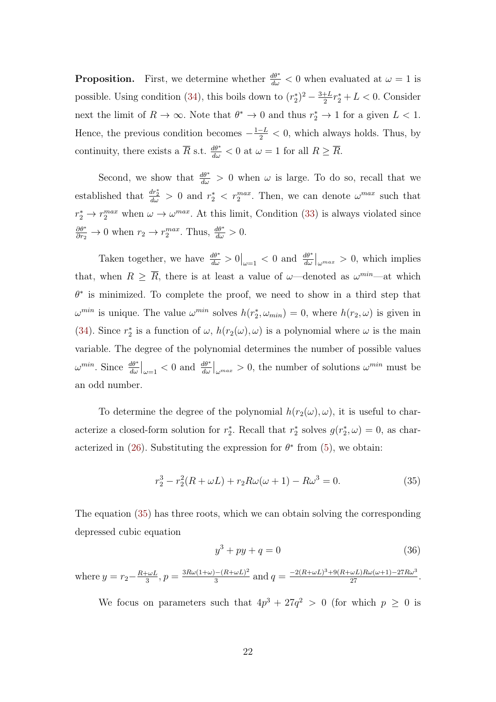**Proposition.** First, we determine whether  $\frac{d\theta^*}{d\omega} < 0$  when evaluated at  $\omega = 1$  is possible. Using condition [\(34\)](#page-20-2), this boils down to  $(r_2^*)^2 - \frac{3+L}{2}$  $\frac{+L}{2}r_2^* + L < 0$ . Consider next the limit of  $R \to \infty$ . Note that  $\theta^* \to 0$  and thus  $r_2^* \to 1$  for a given  $L < 1$ . Hence, the previous condition becomes  $-\frac{1-L}{2} < 0$ , which always holds. Thus, by continuity, there exists a  $\overline{R}$  s.t.  $\frac{d\theta^*}{d\omega} < 0$  at  $\omega = 1$  for all  $R \geq \overline{R}$ .

Second, we show that  $\frac{d\theta^*}{d\omega} > 0$  when  $\omega$  is large. To do so, recall that we established that  $\frac{dr_2^*}{d\omega} > 0$  and  $r_2^* < r_2^{max}$ . Then, we can denote  $\omega^{max}$  such that  $r_2^* \to r_2^{max}$  when  $\omega \to \omega^{max}$ . At this limit, Condition [\(33\)](#page-20-3) is always violated since  $\frac{\partial \theta^*}{\partial r_2} \to 0$  when  $r_2 \to r_2^{max}$ . Thus,  $\frac{d\theta^*}{d\omega} > 0$ .

Taken together, we have  $\frac{d\theta^*}{d\omega} > 0$   $|_{\omega=1} < 0$  and  $\frac{d\theta^*}{d\omega}|_{\omega^{max}} > 0$ , which implies that, when  $R \geq \overline{R}$ , there is at least a value of  $\omega$ —denoted as  $\omega^{min}$ —at which  $\theta^*$  is minimized. To complete the proof, we need to show in a third step that  $\omega^{min}$  is unique. The value  $\omega^{min}$  solves  $h(r_2^*, \omega_{min}) = 0$ , where  $h(r_2, \omega)$  is given in [\(34\)](#page-20-2). Since  $r_2^*$  is a function of  $\omega$ ,  $h(r_2(\omega), \omega)$  is a polynomial where  $\omega$  is the main variable. The degree of the polynomial determines the number of possible values  $\omega^{min}$ . Since  $\frac{d\theta^*}{d\omega}\Big|_{\omega=1} < 0$  and  $\frac{d\theta^*}{d\omega}\Big|_{\omega^{max}} > 0$ , the number of solutions  $\omega^{min}$  must be an odd number.

To determine the degree of the polynomial  $h(r_2(\omega), \omega)$ , it is useful to characterize a closed-form solution for  $r_2^*$ . Recall that  $r_2^*$  solves  $g(r_2^*, \omega) = 0$ , as char-acterized in [\(26\)](#page-18-0). Substituting the expression for  $\theta^*$  from [\(5\)](#page-6-1), we obtain:

<span id="page-21-0"></span>
$$
r_2^3 - r_2^2(R + \omega L) + r_2 R \omega(\omega + 1) - R \omega^3 = 0.
$$
 (35)

The equation [\(35\)](#page-21-0) has three roots, which we can obtain solving the corresponding depressed cubic equation

$$
y^3 + py + q = 0 \tag{36}
$$

where  $y = r_2 - \frac{R + \omega L}{3}$  $\frac{\partial \omega}{\partial x}$ ,  $p = \frac{3R\omega(1+\omega)-(R+\omega L)^2}{3}$  $\frac{(- (R + \omega L)^2)}{3}$  and  $q = \frac{-2(R + \omega L)^3 + 9(R + \omega L)R\omega(\omega + 1) - 27R\omega^3}{27}$ .

We focus on parameters such that  $4p^3 + 27q^2 > 0$  (for which  $p \geq 0$  is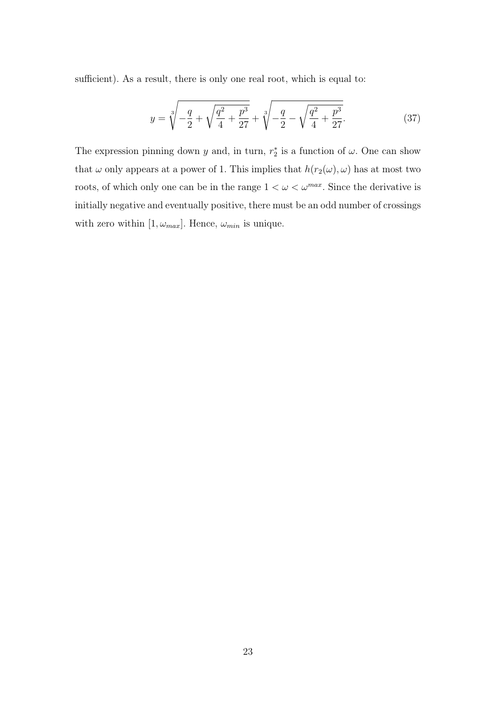sufficient). As a result, there is only one real root, which is equal to:

$$
y = \sqrt[3]{-\frac{q}{2} + \sqrt{\frac{q^2}{4} + \frac{p^3}{27}}} + \sqrt[3]{-\frac{q}{2} - \sqrt{\frac{q^2}{4} + \frac{p^3}{27}}}.
$$
 (37)

The expression pinning down y and, in turn,  $r_2^*$  is a function of  $\omega$ . One can show that  $\omega$  only appears at a power of 1. This implies that  $h(r_2(\omega), \omega)$  has at most two roots, of which only one can be in the range  $1 < \omega < \omega^{max}$ . Since the derivative is initially negative and eventually positive, there must be an odd number of crossings with zero within  $[1, \omega_{max}]$ . Hence,  $\omega_{min}$  is unique.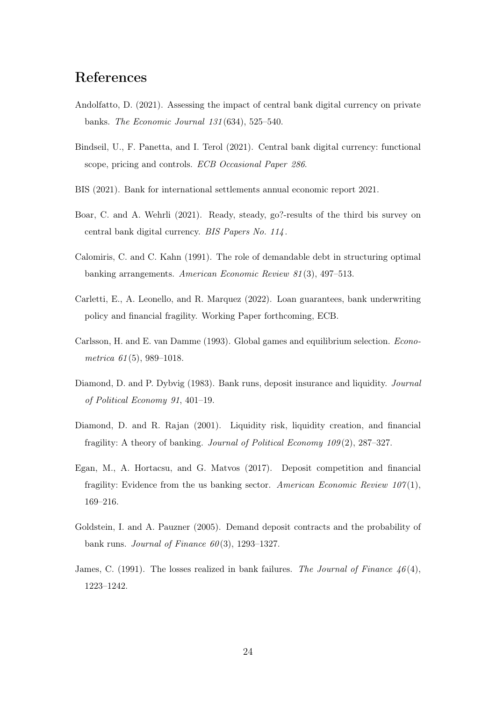# References

- <span id="page-23-6"></span>Andolfatto, D. (2021). Assessing the impact of central bank digital currency on private banks. The Economic Journal 131 (634), 525–540.
- <span id="page-23-2"></span>Bindseil, U., F. Panetta, and I. Terol (2021). Central bank digital currency: functional scope, pricing and controls. ECB Occasional Paper 286.
- <span id="page-23-1"></span>BIS (2021). Bank for international settlements annual economic report 2021.
- <span id="page-23-0"></span>Boar, C. and A. Wehrli (2021). Ready, steady, go?-results of the third bis survey on central bank digital currency. BIS Papers No. 114 .
- <span id="page-23-8"></span>Calomiris, C. and C. Kahn (1991). The role of demandable debt in structuring optimal banking arrangements. American Economic Review 81 (3), 497–513.
- <span id="page-23-5"></span>Carletti, E., A. Leonello, and R. Marquez (2022). Loan guarantees, bank underwriting policy and financial fragility. Working Paper forthcoming, ECB.
- <span id="page-23-3"></span>Carlsson, H. and E. van Damme (1993). Global games and equilibrium selection. Econometrica  $61(5)$ , 989-1018.
- <span id="page-23-7"></span>Diamond, D. and P. Dybvig (1983). Bank runs, deposit insurance and liquidity. Journal of Political Economy 91, 401–19.
- <span id="page-23-9"></span>Diamond, D. and R. Rajan (2001). Liquidity risk, liquidity creation, and financial fragility: A theory of banking. Journal of Political Economy 109 (2), 287–327.
- <span id="page-23-10"></span>Egan, M., A. Hortacsu, and G. Matvos (2017). Deposit competition and financial fragility: Evidence from the us banking sector. American Economic Review  $107(1)$ , 169–216.
- <span id="page-23-4"></span>Goldstein, I. and A. Pauzner (2005). Demand deposit contracts and the probability of bank runs. Journal of Finance  $60(3)$ , 1293–1327.
- <span id="page-23-11"></span>James, C. (1991). The losses realized in bank failures. The Journal of Finance  $46(4)$ , 1223–1242.